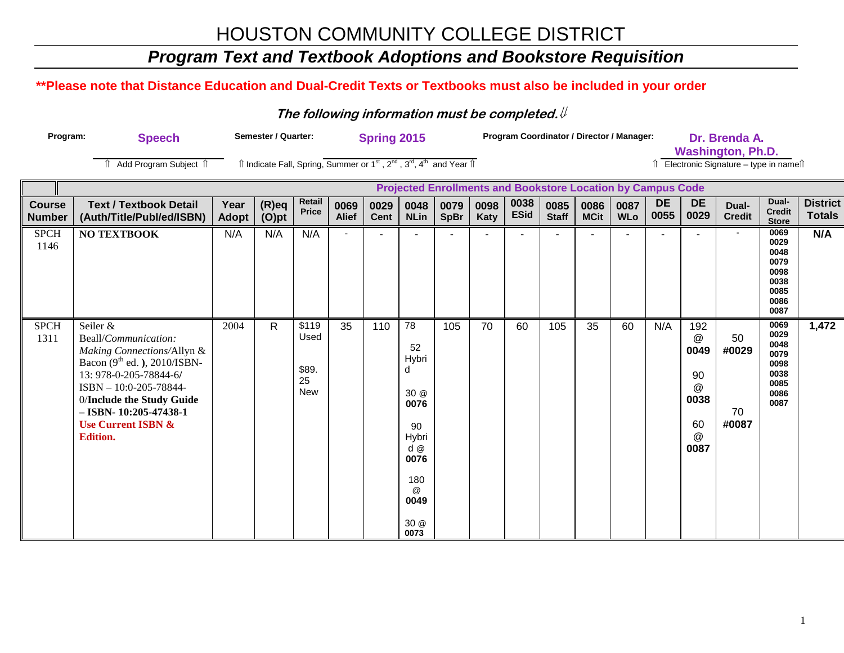## *Program Text and Textbook Adoptions and Bookstore Requisition*

### **\*\*Please note that Distance Education and Dual-Credit Texts or Textbooks must also be included in your order**

#### **The following information must be completed.**⇓

| Program: | Speech                         | Semester / Quarter: | <b>Spring 2015</b>                                                                                                                                  | <b>Program Coordinator / Director / Manager:</b>                   | Dr. Brenda A.<br><b>Washington, Ph.D.</b> |
|----------|--------------------------------|---------------------|-----------------------------------------------------------------------------------------------------------------------------------------------------|--------------------------------------------------------------------|-------------------------------------------|
|          | <b>↑ Add Program Subject ↑</b> |                     | $\hat{\parallel}$ Indicate Fall, Spring, Summer or 1 <sup>st</sup> , 2 <sup>nd</sup> , 3 <sup>rd</sup> , 4 <sup>th</sup> and Year $\hat{\parallel}$ |                                                                    | Electronic Signature – type in name î     |
|          |                                |                     |                                                                                                                                                     | <b>Projected Enrollments and Bookstore Location by Campus Code</b> |                                           |

| <b>Course</b><br><b>Number</b> | <b>Text / Textbook Detail</b><br>(Auth/Title/Publ/ed/ISBN)                                                                                                                                                                                                       | Year<br><b>Adopt</b> | $(R)$ eq<br>$(O)$ pt | Retail<br>Price                            | 0069<br><b>Alief</b> | 0029<br><b>Cent</b> | 0048<br><b>NLin</b>                                                                                                       | 0079<br><b>SpBr</b> | 0098<br>Katy | 0038<br><b>ESid</b> | 0085<br><b>Staff</b> | 0086<br><b>MCit</b> | 0087<br><b>WLo</b> | <b>DE</b><br>0055 | <b>DE</b><br>0029                                                                            | Dual-<br><b>Credit</b>     | Dual-<br><b>Credit</b><br><b>Store</b>                               | <b>District</b><br><b>Totals</b> |
|--------------------------------|------------------------------------------------------------------------------------------------------------------------------------------------------------------------------------------------------------------------------------------------------------------|----------------------|----------------------|--------------------------------------------|----------------------|---------------------|---------------------------------------------------------------------------------------------------------------------------|---------------------|--------------|---------------------|----------------------|---------------------|--------------------|-------------------|----------------------------------------------------------------------------------------------|----------------------------|----------------------------------------------------------------------|----------------------------------|
| <b>SPCH</b><br>1146            | <b>NO TEXTBOOK</b>                                                                                                                                                                                                                                               | N/A                  | N/A                  | N/A                                        |                      |                     |                                                                                                                           |                     |              |                     |                      |                     |                    |                   |                                                                                              |                            | 0069<br>0029<br>0048<br>0079<br>0098<br>0038<br>0085<br>0086<br>0087 | N/A                              |
| <b>SPCH</b><br>1311            | Seiler &<br>Beall/Communication:<br>Making Connections/Allyn &<br>Bacon $(9th$ ed.), 2010/ISBN-<br>13: 978-0-205-78844-6/<br>ISBN - 10:0-205-78844-<br>0/Include the Study Guide<br>$-$ ISBN- 10:205-47438-1<br><b>Use Current ISBN &amp;</b><br><b>Edition.</b> | 2004                 | $\mathsf{R}$         | \$119<br>Used<br>\$89.<br>25<br><b>New</b> | 35                   | 110                 | 78<br>52<br>Hybri<br>d<br>30 @<br>0076<br>90<br>Hybri<br>$d$ $@$<br>0076<br>180<br>$^{\circledR}$<br>0049<br>30 @<br>0073 | 105                 | 70           | 60                  | 105                  | 35                  | 60                 | N/A               | 192<br>$^{\textregistered}$<br>0049<br>90<br>$^{\textregistered}$<br>0038<br>60<br>@<br>0087 | 50<br>#0029<br>70<br>#0087 | 0069<br>0029<br>0048<br>0079<br>0098<br>0038<br>0085<br>0086<br>0087 | 1,472                            |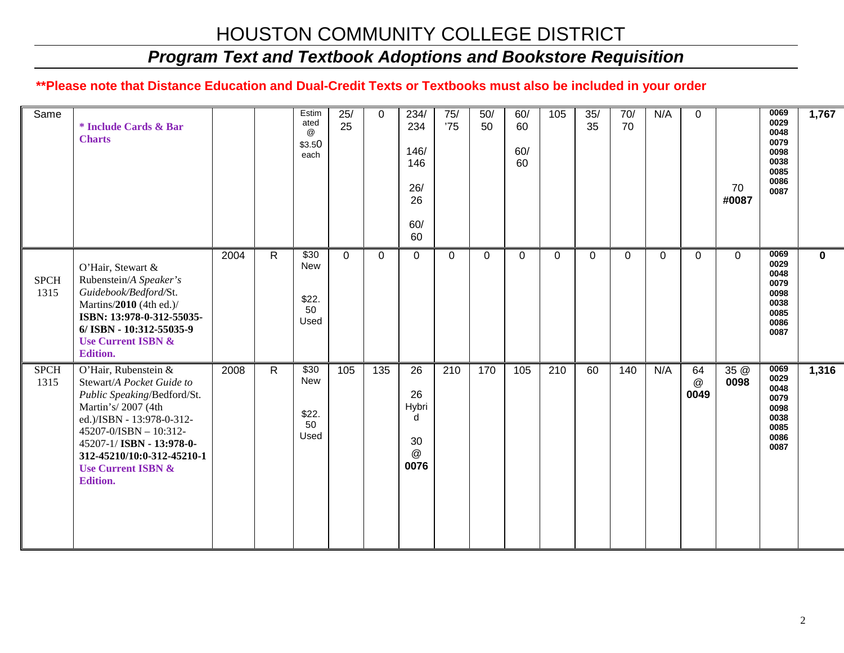## *Program Text and Textbook Adoptions and Bookstore Requisition*

#### **\*\*Please note that Distance Education and Dual-Credit Texts or Textbooks must also be included in your order**

| Same                | * Include Cards & Bar<br><b>Charts</b>                                                                                                                                                                                                                                       |      |              | Estim<br>ated<br>@<br>\$3.50<br>each           | 25/<br>25      | $\mathbf 0$      | 234/<br>234<br>146/<br>146<br>26/<br>26<br>60/<br>60 | 75/<br>'75   | 50/<br>50    | 60/<br>60<br>60/<br>60 | 105              | 35/<br>35      | 70/<br>70 | N/A         | $\overline{0}$  | 70<br>#0087  | 0069<br>0029<br>0048<br>0079<br>0098<br>0038<br>0085<br>0086<br>0087 | 1,767        |
|---------------------|------------------------------------------------------------------------------------------------------------------------------------------------------------------------------------------------------------------------------------------------------------------------------|------|--------------|------------------------------------------------|----------------|------------------|------------------------------------------------------|--------------|--------------|------------------------|------------------|----------------|-----------|-------------|-----------------|--------------|----------------------------------------------------------------------|--------------|
| <b>SPCH</b><br>1315 | O'Hair, Stewart &<br>Rubenstein/A Speaker's<br>Guidebook/Bedford/St.<br>Martins/2010 (4th ed.)/<br>ISBN: 13:978-0-312-55035-<br>6/ ISBN - 10:312-55035-9<br><b>Use Current ISBN &amp;</b><br><b>Edition.</b>                                                                 | 2004 | $\mathsf{R}$ | \$30<br>New<br>\$22.<br>50<br>Used             | $\overline{0}$ | $\Omega$         | $\Omega$                                             | $\mathbf{0}$ | $\mathbf{0}$ | $\Omega$               | $\Omega$         | $\overline{0}$ | $\Omega$  | $\mathbf 0$ | $\mathbf 0$     | $\mathbf 0$  | 0069<br>0029<br>0048<br>0079<br>0098<br>0038<br>0085<br>0086<br>0087 | $\mathbf{0}$ |
| <b>SPCH</b><br>1315 | O'Hair, Rubenstein &<br>Stewart/A Pocket Guide to<br>Public Speaking/Bedford/St.<br>Martin's/2007 (4th<br>ed.)/ISBN - 13:978-0-312-<br>45207-0/ISBN - 10:312-<br>45207-1/ ISBN - 13:978-0-<br>312-45210/10:0-312-45210-1<br><b>Use Current ISBN &amp;</b><br><b>Edition.</b> | 2008 | R.           | $\overline{$30}$<br>New<br>\$22.<br>50<br>Used | 105            | $\overline{135}$ | 26<br>26<br>Hybri<br>d<br>30<br>@<br>0076            | 210          | 170          | 105                    | $\overline{210}$ | 60             | 140       | N/A         | 64<br>@<br>0049 | 35 @<br>0098 | 0069<br>0029<br>0048<br>0079<br>0098<br>0038<br>0085<br>0086<br>0087 | 1,316        |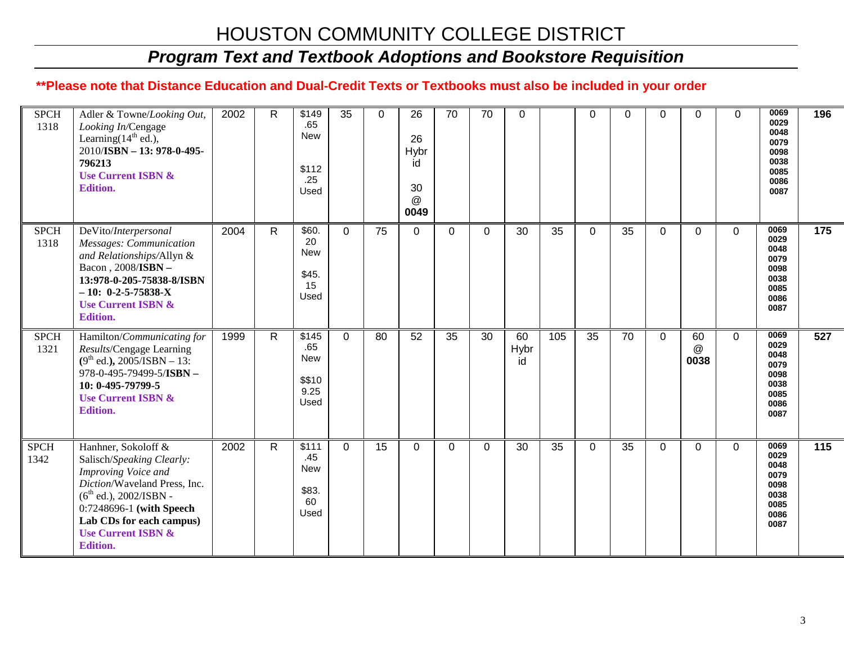## *Program Text and Textbook Adoptions and Bookstore Requisition*

#### **\*\*Please note that Distance Education and Dual-Credit Texts or Textbooks must also be included in your order**

| <b>SPCH</b><br>1318 | Adler & Towne/Looking Out,<br>Looking In/Cengage<br>Learning $(14th$ ed.),<br>2010/ISBN - 13: 978-0-495-<br>796213<br><b>Use Current ISBN &amp;</b><br><b>Edition.</b>                                                                             | 2002 | R            | \$149<br>.65<br><b>New</b><br>\$112<br>.25<br>Used        | 35       | $\Omega$ | 26<br>26<br>Hybr<br>id<br>30<br>@<br>0049 | 70       | 70       | 0                |     | 0           | 0  | 0        | 0               | $\Omega$    | 0069<br>0029<br>0048<br>0079<br>0098<br>0038<br>0085<br>0086<br>0087 | 196              |
|---------------------|----------------------------------------------------------------------------------------------------------------------------------------------------------------------------------------------------------------------------------------------------|------|--------------|-----------------------------------------------------------|----------|----------|-------------------------------------------|----------|----------|------------------|-----|-------------|----|----------|-----------------|-------------|----------------------------------------------------------------------|------------------|
| <b>SPCH</b><br>1318 | DeVito/Interpersonal<br>Messages: Communication<br>and Relationships/Allyn &<br>Bacon, 2008/ISBN -<br>13:978-0-205-75838-8/ISBN<br>$-10: 0-2-5-75838-X$<br><b>Use Current ISBN &amp;</b><br><b>Edition.</b>                                        | 2004 | $\mathsf{R}$ | \$60.<br>20<br><b>New</b><br>\$45.<br>15<br>Used          | $\Omega$ | 75       | $\overline{0}$                            | $\Omega$ | $\Omega$ | 30               | 35  | $\mathbf 0$ | 35 | $\Omega$ | $\Omega$        | $\Omega$    | 0069<br>0029<br>0048<br>0079<br>0098<br>0038<br>0085<br>0086<br>0087 | 175              |
| <b>SPCH</b><br>1321 | Hamilton/Communicating for<br>Results/Cengage Learning<br>$(9th$ ed.), 2005/ISBN - 13:<br>978-0-495-79499-5/ISBN -<br>10: 0-495-79799-5<br><b>Use Current ISBN &amp;</b><br><b>Edition.</b>                                                        | 1999 | $\mathsf{R}$ | \$145<br>.65<br><b>New</b><br>\$\$10<br>9.25<br>Used      | $\Omega$ | 80       | 52                                        | 35       | 30       | 60<br>Hybr<br>id | 105 | 35          | 70 | $\Omega$ | 60<br>@<br>0038 | $\mathbf 0$ | 0069<br>0029<br>0048<br>0079<br>0098<br>0038<br>0085<br>0086<br>0087 | $\overline{527}$ |
| <b>SPCH</b><br>1342 | Hanhner, Sokoloff &<br>Salisch/Speaking Clearly:<br>Improving Voice and<br>Diction/Waveland Press, Inc.<br>$(6^{th}$ ed.), 2002/ISBN -<br>0:7248696-1 (with Speech<br>Lab CDs for each campus)<br><b>Use Current ISBN &amp;</b><br><b>Edition.</b> | 2002 | $\mathsf{R}$ | $\sqrt{$111}$<br>.45<br><b>New</b><br>\$83.<br>60<br>Used | $\Omega$ | 15       | 0                                         | $\Omega$ | 0        | 30               | 35  | 0           | 35 | $\Omega$ | 0               | $\Omega$    | 0069<br>0029<br>0048<br>0079<br>0098<br>0038<br>0085<br>0086<br>0087 | 115              |